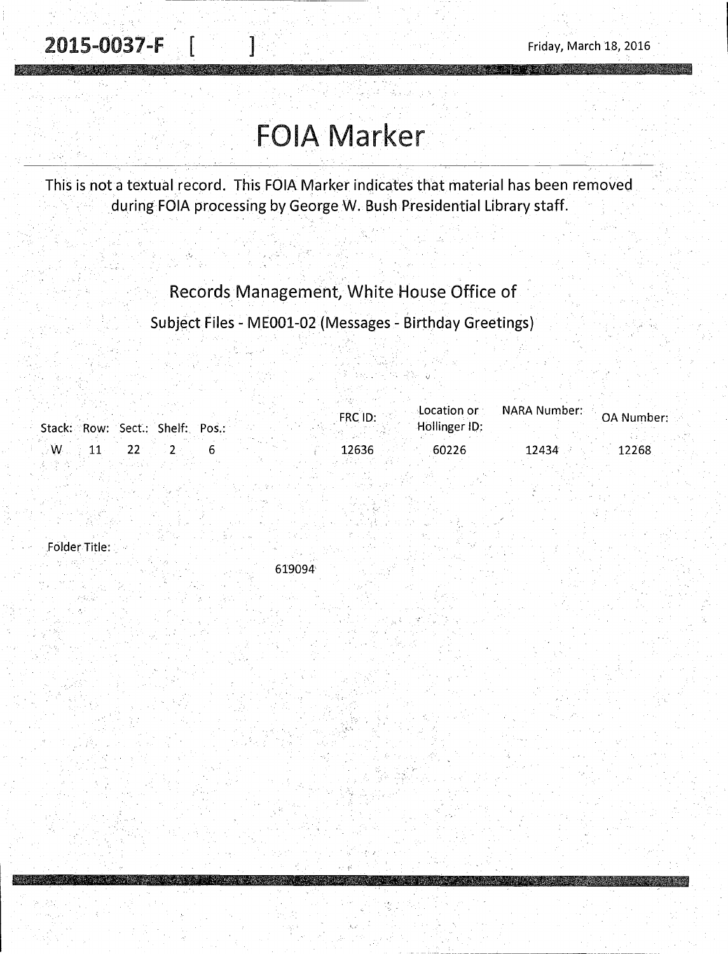# FOIA Marker

This is not a textual record. This FOIA Marker indicates that material has been removed during FOIA processing by George W. Bush Presidential Library staff.

### Records Management, White House Office of

Subject Files - ME001-02 (Messages - Birthday Greetings)

|                                 |  | FRC ID: | $\mathsf{\sim}$ Location or $\mathsf{\sim}$ | NARA Number: | OA Number: |
|---------------------------------|--|---------|---------------------------------------------|--------------|------------|
| Stack: Row: Sect.: Shelf: Pos.: |  |         | Hollinger ID:                               |              |            |
| $\mathcal{M}$ .                 |  | 12636   | 60226                                       | 12434        | 12268      |

folder Title: .

619094'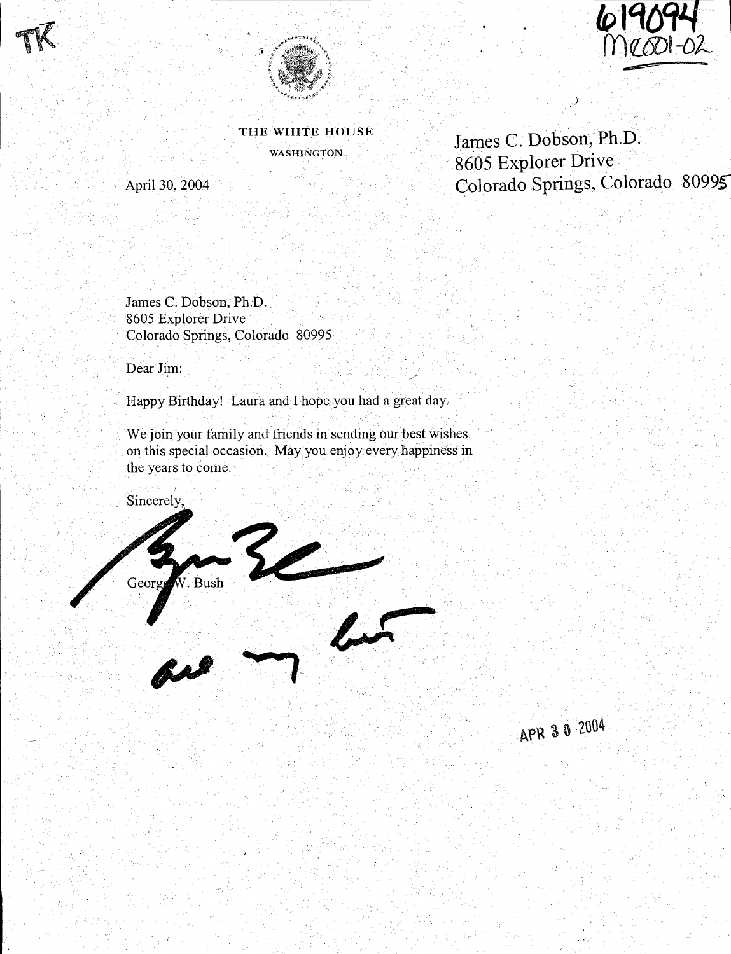





THE WHITE HOUSE WASHINGTON

April30,2004

James C. Dobson, **Ph.D.**  8605 Explorer Drive Golorado Springs, Colorado 80995

James C. Dobson, Ph.D. 8605 Explorer Drive Colorado Springs, Colorado 80995

Dear Jim:

Happy Birthday! Laura and I hope you had a great day,

We join your family and friends in sending our best wishes on this special occasion. May you enjoy every happiness in the years to come.

Sincerely,



APR 30 2004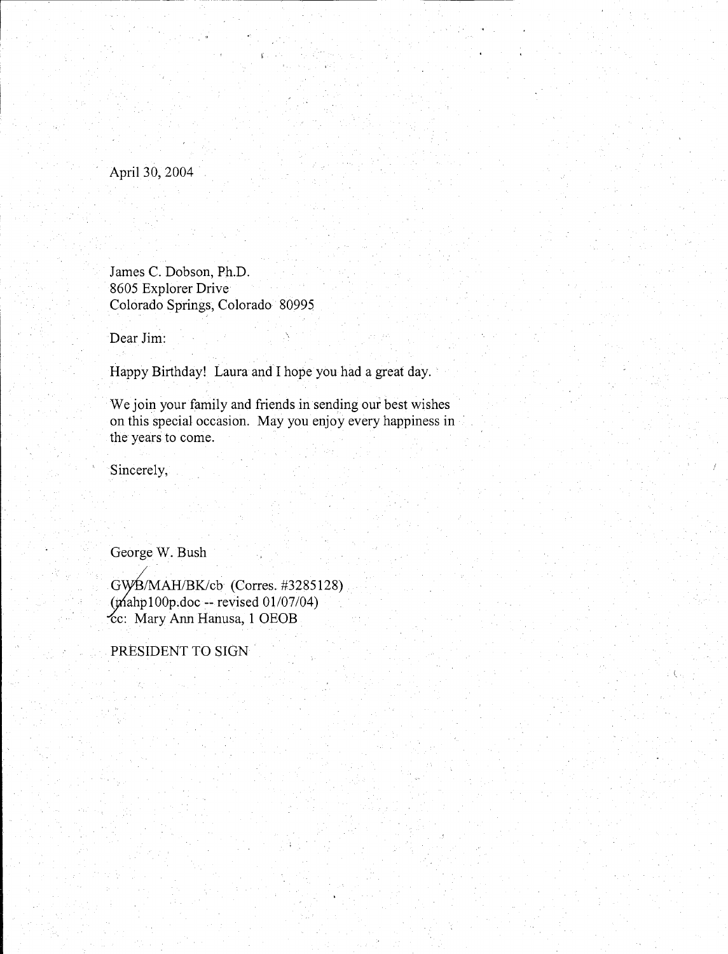April 30, 2004

James C. Dobson, Ph.D. 8605 Explorer Drive Colorado Springs, Colorado 80995

Dear Jim:

Happy Birthday! Laura and I hope you had a great day.

We join your family and friends in sending our best wishes on this special occasion. May you enjoy every happiness in the years to come.

Sincerely,

George W. Bush

Gw£/MAH/BK/cb (Corres. #3285128)  $~(\text{graph100p.doc -- revised 01/07/04})$ cc: Mary Ann Hanusa, 1 OEOB

PRESIDENT TO SIGN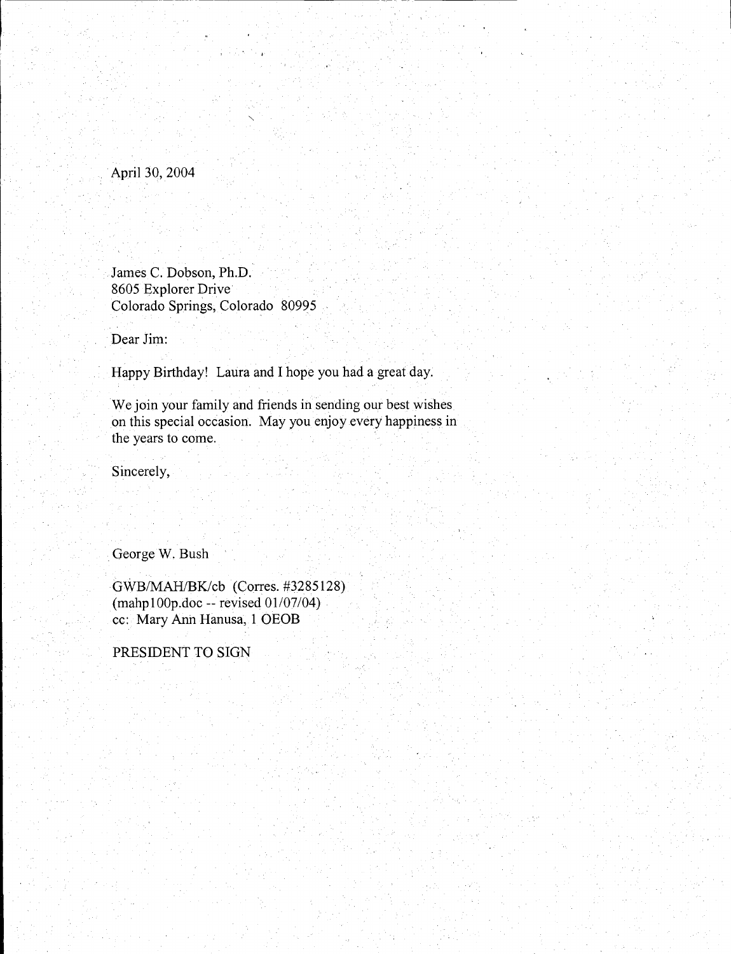#### April30,2004

James C. Dobson, Ph.D. 8605 Explorer Drive· Colorado Springs, Colorado 80995

Dear Jim:

Happy Birthday! Laura and I hope you had a great day.

We join your family and friends in sending our best wishes on this special occasion. May you enjoy every happiness in the years to come.

Sincerely,

. George W. Bush

GWB/MAH/BKJcb (Corres. #3285128) (mahp100p.doc -- revised 01/07/04) cc: Mary Anh Hanusa, 1 OEOB

PRESIDENT TO SIGN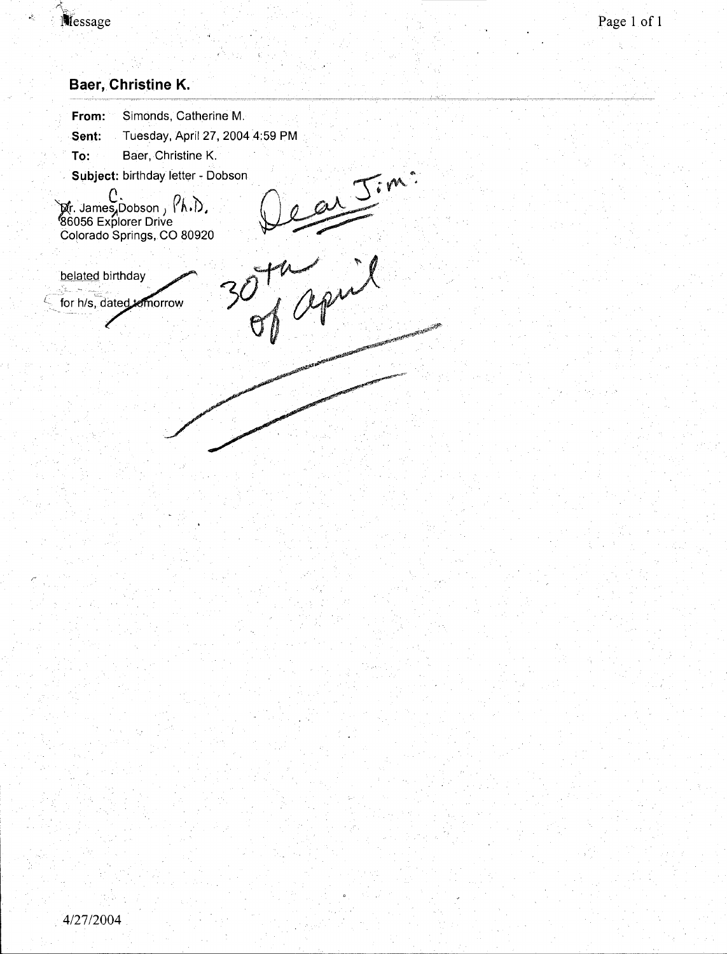

é.

### **Baer, Christine K.**

| From:                                 | Simonds, Catherine M.                                                                                                       |  |
|---------------------------------------|-----------------------------------------------------------------------------------------------------------------------------|--|
| Sent:                                 | Tuesday, April 27, 2004 4:59 PM                                                                                             |  |
| To:                                   | Baer, Christine K.                                                                                                          |  |
|                                       | Subject: birthday letter - Dobson                                                                                           |  |
|                                       | <b>Mr. James,Dobson,(A.D.</b> )<br>186056 Explorer Drive<br>Colorado Springs, CO 80920                                      |  |
| belated birthday<br>for h/s, dated to |                                                                                                                             |  |
|                                       | OPPORTUNITIES AND DESCRIPTION OF THE OWNER WHEN THE OWNER WITH THE OWNER WITH THE OWNER WAS ARRESTED FOR THE OWNER WITH THE |  |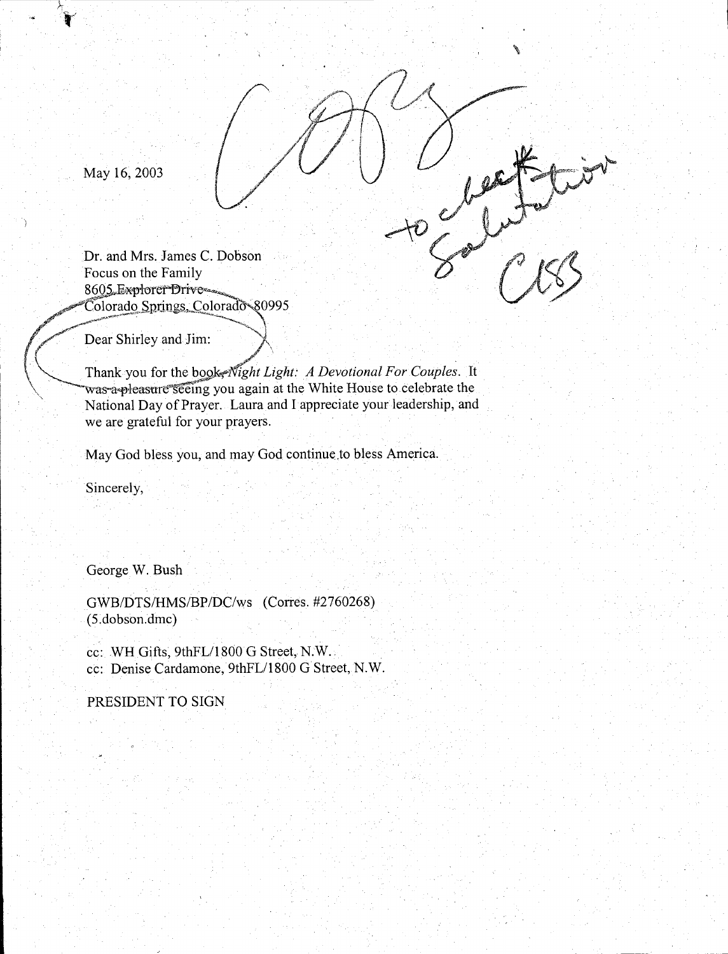May 16, 2003

Dr. and Mrs. James C. Dobson Focus on the Family 8605, Explorer Drive Colorado Springs. Colorado 80995 / Dear Shirley and Jim: > , \. Thank you for the *bqo,kef"'Night Light: A Devotional For Couple;.* It

, which is a set of the contract of the contract of the contract of the contract of the contract of the contract of the contract of the contract of the contract of the contract of the contract of the contract of the contr

was a pleasure seeing you again at the White House to celebrate the National Day of Prayer. Laura and I appreciate your leadership, and we are grateful for your prayers.

'

 $A = \sqrt{\frac{1}{1-\frac{1}{1-\frac{1}{1-\frac{1}{1-\frac{1}{1-\frac{1}{1-\frac{1}{1-\frac{1}{1-\frac{1}{1-\frac{1}{1-\frac{1}{1-\frac{1}{1-\frac{1}{1-\frac{1}{1-\frac{1}{1-\frac{1}{1-\frac{1}{1-\frac{1}{1-\frac{1}{1-\frac{1}{1-\frac{1}{1-\frac{1}{1-\frac{1}{1-\frac{1}{1-\frac{1}{1-\frac{1}{1-\frac{1}{1-\frac{1}{1-\frac{1}{1-\frac{1}{1-\frac{1}{1-\frac{1}{1-\frac{1}{1-\frac{1}{1-\frac{1}{1-\frac{1}{1$ 

 $\mathbb{Z}^{\mathbb{Z}}$ 

May God bless you, and may God continue.to bless America.

Sincerely,

George W. Bush

GWB/DTS/HMS/BP/DC/ws (Corres. #2760268) (5.dobson.dmc)

cc: WH Gifts, 9thFL/1800 G Street, N.W. cc: Denise Cardamone, 9thFL/1800 G Street, N.W.

PRESIDENT TO SIGN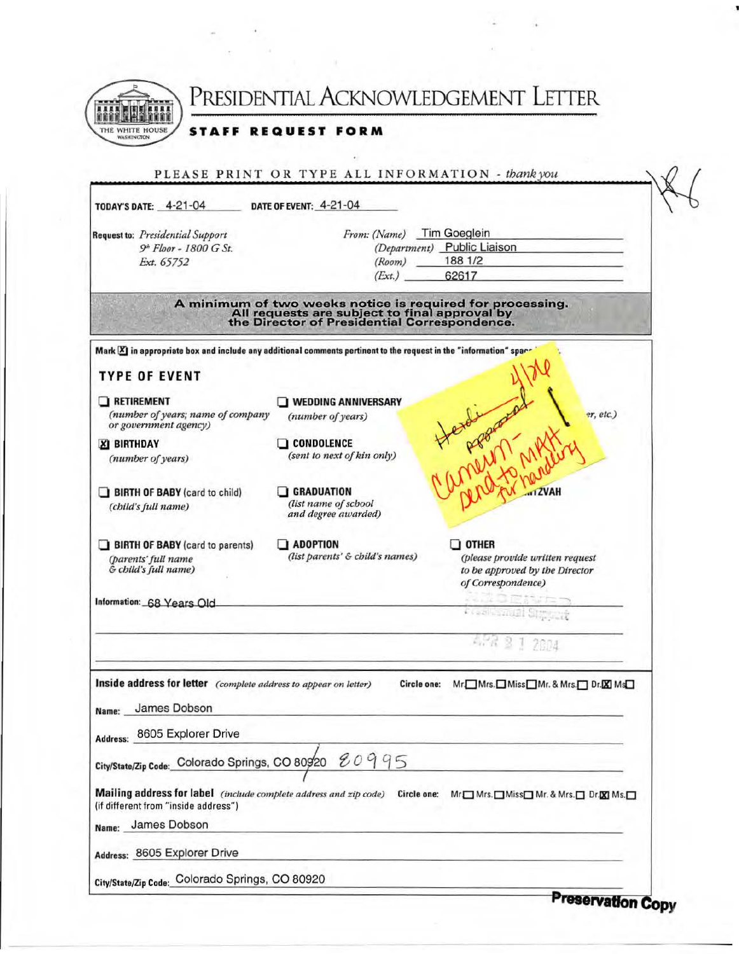

PRESIDENTIAL ACKNOWLEDGEMENT LETTER

**STAFF REQUEST FORM** 

| TODAY'S DATE: 4-21-04                                                                                                 | DATE OF EVENT: 4-21-04                                                                                                                                     |                                                                  |
|-----------------------------------------------------------------------------------------------------------------------|------------------------------------------------------------------------------------------------------------------------------------------------------------|------------------------------------------------------------------|
| Request to: Presidential Support                                                                                      | From: (Name) Tim Goeglein                                                                                                                                  |                                                                  |
| 9 <sup>th</sup> Floor - 1800 G St.                                                                                    |                                                                                                                                                            | (Department) Public Liaison                                      |
| Ext. 65752                                                                                                            | (Room)                                                                                                                                                     | 188 1/2                                                          |
|                                                                                                                       | (Ext.)                                                                                                                                                     | 62617                                                            |
|                                                                                                                       | A minimum of two weeks notice is required for processing.<br>All requests are subject to final approval by<br>the Director of Presidential Correspondence. |                                                                  |
| Mark XI in appropriate box and include any additional comments pertinent to the request in the "information" spar-    |                                                                                                                                                            |                                                                  |
| <b>TYPE OF EVENT</b>                                                                                                  |                                                                                                                                                            |                                                                  |
| RETIREMENT                                                                                                            | WEDDING ANNIVERSARY                                                                                                                                        |                                                                  |
| (number of years; name of company<br>or government agency)                                                            | (number of years)                                                                                                                                          | er, etc.)<br>YAMANY                                              |
|                                                                                                                       |                                                                                                                                                            |                                                                  |
| <b>XI BIRTHDAY</b>                                                                                                    | <b>CONDOLENCE</b><br>(sent to next of kin only)                                                                                                            |                                                                  |
| (number of years)                                                                                                     |                                                                                                                                                            |                                                                  |
|                                                                                                                       |                                                                                                                                                            |                                                                  |
| BIRTH OF BABY (card to child)                                                                                         | $\Box$ GRADUATION<br>(list name of school                                                                                                                  | <b>IZVAH</b>                                                     |
| (child's full name)                                                                                                   | and degree awarded)                                                                                                                                        |                                                                  |
| BIRTH OF BABY (card to parents)                                                                                       | $\Box$ adoption                                                                                                                                            | $\Box$ other                                                     |
| (parents' full name                                                                                                   | (list parents' & child's names)                                                                                                                            | (please provide written request                                  |
| & child's full name)                                                                                                  |                                                                                                                                                            | to be approved by the Director                                   |
|                                                                                                                       |                                                                                                                                                            | of Correspondence)                                               |
| Information: 68 Years Old                                                                                             |                                                                                                                                                            |                                                                  |
|                                                                                                                       |                                                                                                                                                            | <b>Coaltowell Street</b>                                         |
|                                                                                                                       |                                                                                                                                                            | 1 2004                                                           |
| Inside address for letter (complete address to appear on letter)                                                      | Circle one:                                                                                                                                                | Mr. Mrs. Miss Mr. & Mrs. Dr. X Ms.                               |
|                                                                                                                       |                                                                                                                                                            |                                                                  |
| James Dobson<br>Name:                                                                                                 |                                                                                                                                                            |                                                                  |
| Address: 8605 Explorer Drive                                                                                          |                                                                                                                                                            |                                                                  |
|                                                                                                                       |                                                                                                                                                            |                                                                  |
| City/State/Zip Code: Colorado Springs, CO 80920                                                                       | 80995                                                                                                                                                      |                                                                  |
|                                                                                                                       |                                                                                                                                                            |                                                                  |
| Mailing address for label (include complete address and zip code) Circle one:<br>(if different from "inside address") |                                                                                                                                                            | Mr <sub>I</sub> Mrs. IMiss <sub>I</sub> Mr. & Mrs. IDr. XIMs. II |
|                                                                                                                       |                                                                                                                                                            |                                                                  |
| James Dobson<br>Name:                                                                                                 |                                                                                                                                                            |                                                                  |
| Address: 8605 Explorer Drive                                                                                          |                                                                                                                                                            |                                                                  |
| City/State/Zip Code: Colorado Springs, CO 80920                                                                       |                                                                                                                                                            |                                                                  |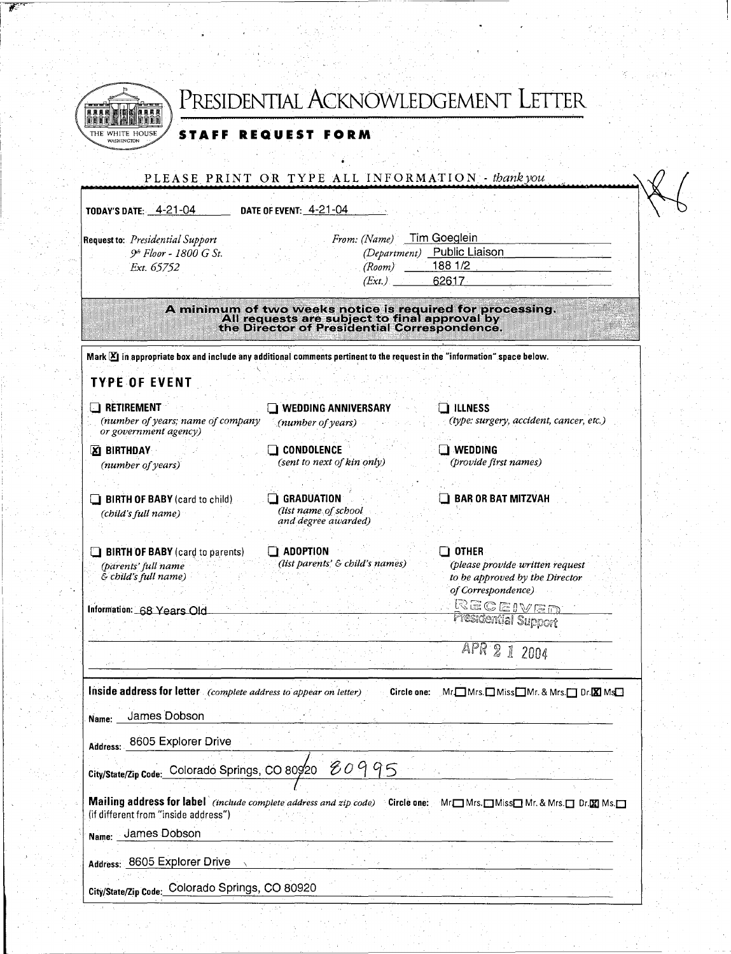|                                                                                                                                    |                                                                                                                                                            | PRESIDENTIAL ACKNOWLEDGEMENT LETTER                                                     |  |
|------------------------------------------------------------------------------------------------------------------------------------|------------------------------------------------------------------------------------------------------------------------------------------------------------|-----------------------------------------------------------------------------------------|--|
| THE WHITE HOUSE<br>STAFF                                                                                                           | <b>REQUEST FORM</b>                                                                                                                                        |                                                                                         |  |
|                                                                                                                                    |                                                                                                                                                            |                                                                                         |  |
|                                                                                                                                    | PLEASE PRINT OR TYPE ALL INFORMATION - thank you                                                                                                           |                                                                                         |  |
| <b>TODAY'S DATE: 4-21-04</b>                                                                                                       | DATE OF EVENT: 4-21-04                                                                                                                                     |                                                                                         |  |
| Request to: Presidential Support                                                                                                   | From: (Name)                                                                                                                                               | Tim Goeglein                                                                            |  |
| 9 <sup>th</sup> Floor - 1800 G St.<br>Ext. 65752                                                                                   | (Department)<br>(Room)                                                                                                                                     | Public Liaison<br>188 1/2                                                               |  |
|                                                                                                                                    | (Ext.)                                                                                                                                                     | 62617                                                                                   |  |
|                                                                                                                                    | A minimum of two weeks notice is required for processing.<br>All requests are subject to final approval by<br>the Director of Presidential Correspondence. |                                                                                         |  |
| Mark $\mathbb Z$ in appropriate box and include any additional comments pertinent to the request in the "information" space below. |                                                                                                                                                            |                                                                                         |  |
| <b>TYPE OF EVENT</b>                                                                                                               |                                                                                                                                                            |                                                                                         |  |
| <b>E</b> RETIREMENT                                                                                                                | $\Box$ wedding anniversary                                                                                                                                 | $\square$ illness                                                                       |  |
| (number of years; name of company<br>or government agency)                                                                         | $(number$ of years)                                                                                                                                        | (type: surgery, accident, cancer, etc.)                                                 |  |
| <b>ZI BIRTHDAY</b><br>(number of years)                                                                                            | $\Box$ condolence<br>(sent to next of kin only)                                                                                                            | $\square$ .wedding<br>(provide first names)                                             |  |
|                                                                                                                                    | <b>GRADUATION</b>                                                                                                                                          | <b>BAR OR BAT MITZVAH</b>                                                               |  |
| <b>BIRTH OF BABY</b> (card to child)<br>(child's full name)                                                                        | (list name of school<br>and degree awarded)                                                                                                                |                                                                                         |  |
| <b>BIRTH OF BABY</b> (card to parents)                                                                                             | <b>ADOPTION</b>                                                                                                                                            | $\square$ other                                                                         |  |
| (parents' full name<br>& child's full name)                                                                                        | (list parents' & child's names)                                                                                                                            | (please provide written request<br>to be approved by the Director<br>of Correspondence) |  |
| Information: 68 Years Old                                                                                                          |                                                                                                                                                            | RECEIVED<br>Presidential Support                                                        |  |
|                                                                                                                                    |                                                                                                                                                            | APR                                                                                     |  |
|                                                                                                                                    |                                                                                                                                                            | I<br>2004                                                                               |  |
| Inside address for letter (complete address to appear on letter)                                                                   | Circle one:                                                                                                                                                | $Mr$ $\Box$ Mrs. $\Box$ Miss $\Box$ Mr. & Mrs. $\Box$ Dr. $\boxtimes$ Ms $\Box$         |  |
| James Dobson<br>Name:                                                                                                              |                                                                                                                                                            |                                                                                         |  |
| 8605 Explorer Drive<br>Address:                                                                                                    |                                                                                                                                                            |                                                                                         |  |
| City/State/Zip Code: Colorado Springs, CO 80920                                                                                    | È<br>09<br>95                                                                                                                                              |                                                                                         |  |
|                                                                                                                                    |                                                                                                                                                            |                                                                                         |  |
| Mailing address for label (include complete address and zip code) Circle one:<br>(if different from "inside address")              |                                                                                                                                                            | Mr <sub>I</sub> Mrs. Miss <sub>I</sub> Mr. & Mrs. Dr. M Ms. O                           |  |
| James Dobson<br>Name:                                                                                                              |                                                                                                                                                            |                                                                                         |  |

医心室 医单核菌素 医心包 医心包 医心包 医心包 医心包的 医心包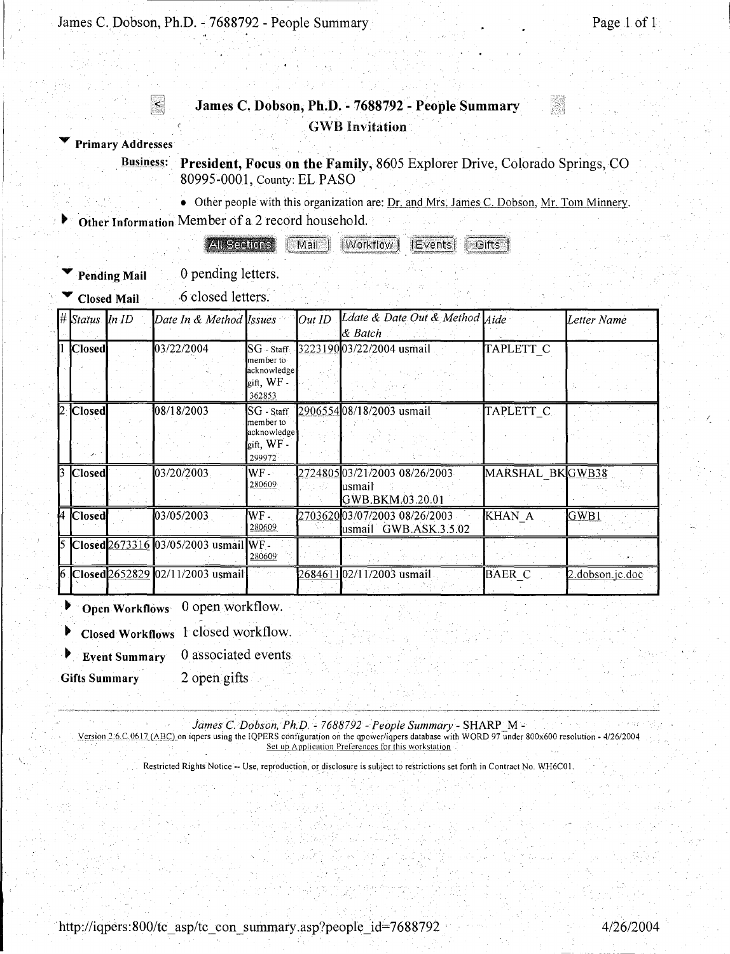------------------------------ -------

l.

#### **James C. Dobson, Ph;D. - 7688792- People Summary**  GWB Invitation

,.. **Primary Addresses** 

I. I

> Business: President, Focus on the Family, 8605 Explorer Drive, Colorado Springs, CO 80995-0001, County: EL PASO

> > • Other people with this organization are: Dr. and Mrs. James C. Dobson, Mr. Tom Minnery.

<sup>~</sup>**Other Information** Member of a 2 record household.

**All Sections**  $\lceil$  Mail  $\rceil$ [Workflow] *IEvents!* Gifts

Pending Mail 0 pending letters.

Closed Mail **6** closed letters.

| $\#$ Status In ID | Date In & Method Issues               |                                                                                                          | Out ID | Ldate & Date Out & Method Aide<br>$\&$ Batch                  |                      | Letter Name     |
|-------------------|---------------------------------------|----------------------------------------------------------------------------------------------------------|--------|---------------------------------------------------------------|----------------------|-----------------|
| <b>Closed</b>     | 03/22/2004                            | $\overline{\text{SG}}$ - Staff $\overline{\text{G}}$<br>member to<br>acknowledge<br>gift, WF -<br>362853 |        | 322319003/22/2004 usmail                                      | TAPLETT C            |                 |
| 2  Closed         | 108/18/2003                           | $SG$ - Staff<br>member to<br>acknowledge<br>gift, WF -<br>299972                                         |        | 290655408/18/2003 usmail                                      | TAPLETT <sub>C</sub> |                 |
| 3 Closed          | 03/20/2003                            | $WF-$<br>280609                                                                                          |        | 272480503/21/2003 08/26/2003<br>lusmail<br>GWB.BKM.03.20.01   | MARSHAL BKGWB38      |                 |
| 4 Closed          | 03/05/2003                            | WF -<br>280609                                                                                           |        | 2703620 <b>03/07/2003 08/26/2003</b><br>usmail GWB.ASK.3.5.02 | KHAN A               | GWB1            |
|                   | 5 Closed 2673316 03/05/2003 usmail WF | 280609                                                                                                   |        |                                                               |                      |                 |
|                   | 6 Closed 2652829 02/11/2003 usmail    |                                                                                                          |        | 2684611 <b>0</b> 2/11/2003 usmail                             | <b>BAER C</b>        | 2.dobson.jc.doc |

<sup>~</sup>**Open Workflows** 0 open workflow.

<sup>~</sup>**Closed Workflows l** closed workflow.

Event Summary 0 associated events

Gifts Summary 2 open gifts

*James* C. *Dobson, Ph.D.* - *7688792* - *People Summary-* SHARP \_M -

Version 2.6.C.0617 (ABC) on iqpers using the IQPERS configuration on the qpower/iqpers database with WORD 97 under 800x600 resolution - 4/26/2004 Set up Application Preferences for this workstation

Restricted Rights Notice -- Use, reproduction, or disclosure is subject to restrictions set forth in Contract No. WH6C01.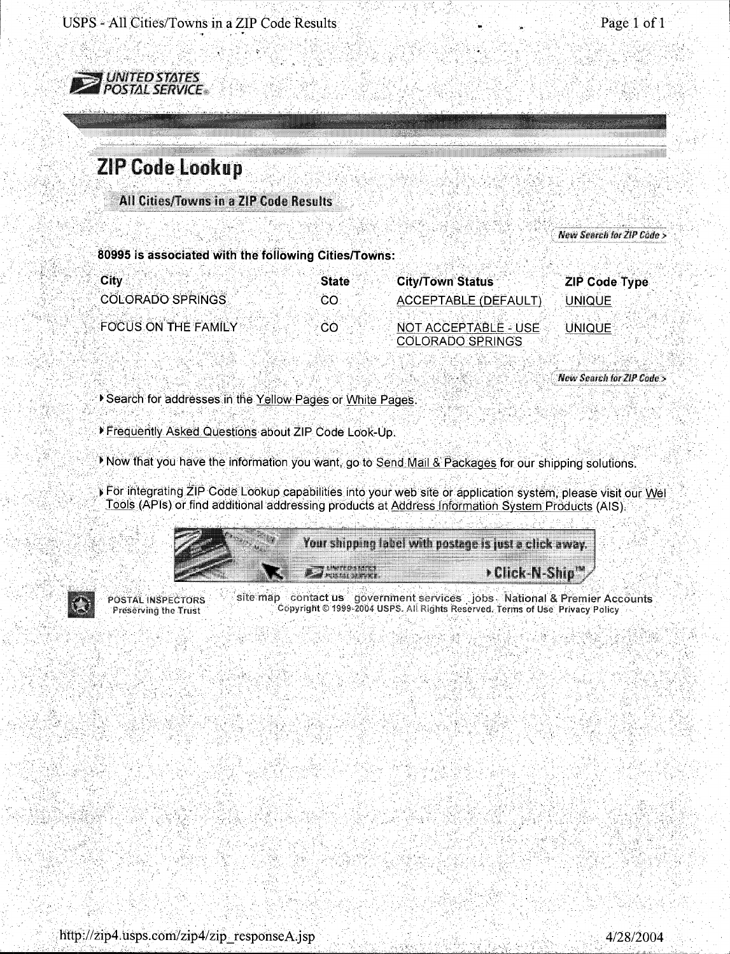

## **ZIP Code Lookup**

All Cities/Towns in a ZIP Code Results

New Search for ZIP Code >

80995 is associated with the following Cities/Towns:

| <b>City</b> |                            | <b>State</b> | <b>City/Town Status</b> |                            |                      |  |
|-------------|----------------------------|--------------|-------------------------|----------------------------|----------------------|--|
|             |                            |              |                         |                            | <b>ZIP Code Type</b> |  |
|             | <b>COLORADO SPRINGS</b>    | CO.          |                         | <b>ACCEPTABLE (DEFAULT</b> | 'JNIQUE I            |  |
|             |                            |              |                         |                            |                      |  |
|             | <b>FOCUS ON THE FAMILY</b> |              |                         |                            |                      |  |
|             |                            | ാറ           |                         | NOT ACCEPTABLE - USE       | UNIQUE :             |  |
|             |                            |              | <b>COLORADO SPRINGS</b> |                            |                      |  |

New Search for ZIP Code >

Search for addresses in the Yellow Pages or White Pages.

Frequently Asked Questions about ZIP Code Look-Up.

Now that you have the information you want, go to Send Mail & Packages for our shipping solutions.

For integrating ZIP Code Lookup capabilities into your web site or application system, please visit our Well Tools (APIs) or find additional addressing products at Address Information System Products (AIS).

| der verdelen hadde betreftend<br>of the batter party of the state and the U.S. of the Chapters |
|------------------------------------------------------------------------------------------------|
|                                                                                                |
|                                                                                                |
|                                                                                                |
|                                                                                                |
|                                                                                                |
|                                                                                                |
|                                                                                                |
|                                                                                                |
|                                                                                                |
|                                                                                                |
|                                                                                                |
|                                                                                                |
|                                                                                                |
|                                                                                                |
|                                                                                                |
|                                                                                                |
|                                                                                                |
|                                                                                                |
|                                                                                                |
|                                                                                                |
|                                                                                                |
|                                                                                                |
| .                                                                                              |
|                                                                                                |
|                                                                                                |
|                                                                                                |
|                                                                                                |
|                                                                                                |
|                                                                                                |
|                                                                                                |
|                                                                                                |
|                                                                                                |
|                                                                                                |
|                                                                                                |



**POSTAL INSPECTORS** Preserving the Trust

site map contact us government services jobs National & Premier Accounts Copyright © 1999-2004 USPS. All Rights Reserved. Terms of Use Privacy Policy